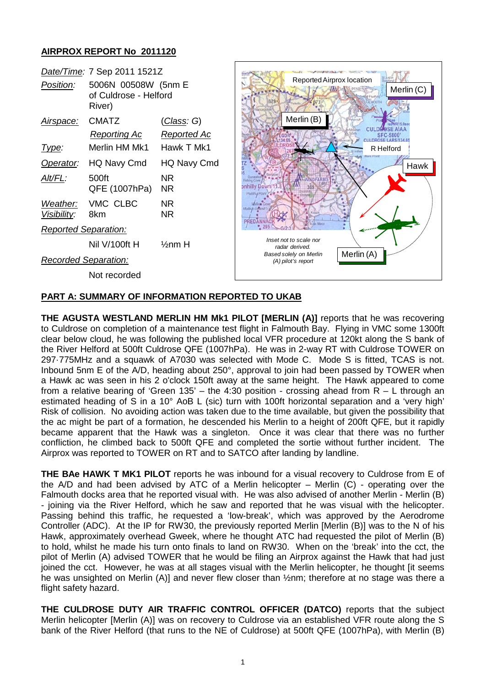## **AIRPROX REPORT No 2011120**

| Date/Time: 7 Sep 2011 1521Z |                                              |                        |                                                              |                                         |
|-----------------------------|----------------------------------------------|------------------------|--------------------------------------------------------------|-----------------------------------------|
| Position:                   | 5006N 00508W (5nm E<br>of Culdrose - Helford |                        | Reported Airprox location                                    | Merlin (C)                              |
|                             | River)                                       |                        |                                                              |                                         |
| Airspace:                   | <b>CMATZ</b>                                 | <u>(Class</u> : G)     | Merlin (B)                                                   | oWR15.0se                               |
|                             | <b>Reporting Ac</b>                          | <b>Reported Ac</b>     |                                                              | <b>CULDROSE AIAA</b><br><b>SFC-5800</b> |
| Type:                       | Merlin HM Mk1                                | Hawk T Mk1             |                                                              | R Helford                               |
| Operator:                   | HQ Navy Cmd                                  | HQ Navy Cmd            |                                                              | Hawk                                    |
| Alt/FL:                     | 500ft<br>QFE (1007hPa)                       | NR.<br><b>NR</b>       | <b>NDFARM</b><br>onhilly Down/11<br>Pold/it/                 |                                         |
| Weather:<br>Visibility:     | VMC CLBC<br>8km                              | <b>NR</b><br><b>NR</b> |                                                              |                                         |
| <b>Reported Separation:</b> |                                              |                        | ≁                                                            |                                         |
|                             | Nil V/100ft H                                | $\frac{1}{2}$ nm H     | Inset not to scale nor<br>radar derived.                     |                                         |
| <b>Recorded Separation:</b> |                                              |                        | Merlin (A)<br>Based solely on Merlin<br>$(A)$ pilot's report |                                         |
|                             | Not recorded                                 |                        |                                                              |                                         |

Ì

# **PART A: SUMMARY OF INFORMATION REPORTED TO UKAB**

**THE AGUSTA WESTLAND MERLIN HM Mk1 PILOT [MERLIN (A)]** reports that he was recovering to Culdrose on completion of a maintenance test flight in Falmouth Bay. Flying in VMC some 1300ft clear below cloud, he was following the published local VFR procedure at 120kt along the S bank of the River Helford at 500ft Culdrose QFE (1007hPa). He was in 2-way RT with Culdrose TOWER on 297·775MHz and a squawk of A7030 was selected with Mode C. Mode S is fitted, TCAS is not. Inbound 5nm E of the A/D, heading about 250°, approval to join had been passed by TOWER when a Hawk ac was seen in his 2 o'clock 150ft away at the same height. The Hawk appeared to come from a relative bearing of 'Green 135' – the 4:30 position - crossing ahead from  $R - L$  through an estimated heading of S in a 10° AoB L (sic) turn with 100ft horizontal separation and a 'very high' Risk of collision. No avoiding action was taken due to the time available, but given the possibility that the ac might be part of a formation, he descended his Merlin to a height of 200ft QFE, but it rapidly became apparent that the Hawk was a singleton. Once it was clear that there was no further confliction, he climbed back to 500ft QFE and completed the sortie without further incident. The Airprox was reported to TOWER on RT and to SATCO after landing by landline.

**THE BAe HAWK T MK1 PILOT** reports he was inbound for a visual recovery to Culdrose from E of the A/D and had been advised by ATC of a Merlin helicopter – Merlin (C) - operating over the Falmouth docks area that he reported visual with. He was also advised of another Merlin - Merlin (B) - joining via the River Helford, which he saw and reported that he was visual with the helicopter. Passing behind this traffic, he requested a 'low-break', which was approved by the Aerodrome Controller (ADC). At the IP for RW30, the previously reported Merlin [Merlin (B)] was to the N of his Hawk, approximately overhead Gweek, where he thought ATC had requested the pilot of Merlin (B) to hold, whilst he made his turn onto finals to land on RW30. When on the 'break' into the cct, the pilot of Merlin (A) advised TOWER that he would be filing an Airprox against the Hawk that had just joined the cct. However, he was at all stages visual with the Merlin helicopter, he thought [it seems he was unsighted on Merlin (A)] and never flew closer than  $\frac{1}{2}$ nm; therefore at no stage was there a flight safety hazard.

**THE CULDROSE DUTY AIR TRAFFIC CONTROL OFFICER (DATCO)** reports that the subject Merlin helicopter [Merlin (A)] was on recovery to Culdrose via an established VFR route along the S bank of the River Helford (that runs to the NE of Culdrose) at 500ft QFE (1007hPa), with Merlin (B)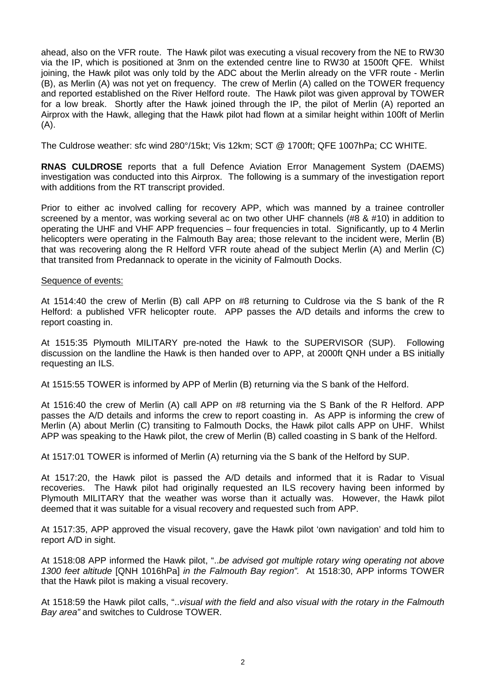ahead, also on the VFR route. The Hawk pilot was executing a visual recovery from the NE to RW30 via the IP, which is positioned at 3nm on the extended centre line to RW30 at 1500ft QFE. Whilst joining, the Hawk pilot was only told by the ADC about the Merlin already on the VFR route - Merlin (B), as Merlin (A) was not yet on frequency. The crew of Merlin (A) called on the TOWER frequency and reported established on the River Helford route. The Hawk pilot was given approval by TOWER for a low break. Shortly after the Hawk joined through the IP, the pilot of Merlin (A) reported an Airprox with the Hawk, alleging that the Hawk pilot had flown at a similar height within 100ft of Merlin  $(A)$ .

The Culdrose weather: sfc wind 280°/15kt; Vis 12km; SCT @ 1700ft; QFE 1007hPa; CC WHITE.

**RNAS CULDROSE** reports that a full Defence Aviation Error Management System (DAEMS) investigation was conducted into this Airprox. The following is a summary of the investigation report with additions from the RT transcript provided.

Prior to either ac involved calling for recovery APP, which was manned by a trainee controller screened by a mentor, was working several ac on two other UHF channels (#8 & #10) in addition to operating the UHF and VHF APP frequencies – four frequencies in total. Significantly, up to 4 Merlin helicopters were operating in the Falmouth Bay area; those relevant to the incident were, Merlin (B) that was recovering along the R Helford VFR route ahead of the subject Merlin (A) and Merlin (C) that transited from Predannack to operate in the vicinity of Falmouth Docks.

### Sequence of events:

At 1514:40 the crew of Merlin (B) call APP on #8 returning to Culdrose via the S bank of the R Helford: a published VFR helicopter route. APP passes the A/D details and informs the crew to report coasting in.

At 1515:35 Plymouth MILITARY pre-noted the Hawk to the SUPERVISOR (SUP). Following discussion on the landline the Hawk is then handed over to APP, at 2000ft QNH under a BS initially requesting an ILS.

At 1515:55 TOWER is informed by APP of Merlin (B) returning via the S bank of the Helford.

At 1516:40 the crew of Merlin (A) call APP on #8 returning via the S Bank of the R Helford. APP passes the A/D details and informs the crew to report coasting in. As APP is informing the crew of Merlin (A) about Merlin (C) transiting to Falmouth Docks, the Hawk pilot calls APP on UHF. Whilst APP was speaking to the Hawk pilot, the crew of Merlin (B) called coasting in S bank of the Helford.

At 1517:01 TOWER is informed of Merlin (A) returning via the S bank of the Helford by SUP.

At 1517:20, the Hawk pilot is passed the A/D details and informed that it is Radar to Visual recoveries. The Hawk pilot had originally requested an ILS recovery having been informed by Plymouth MILITARY that the weather was worse than it actually was. However, the Hawk pilot deemed that it was suitable for a visual recovery and requested such from APP.

At 1517:35, APP approved the visual recovery, gave the Hawk pilot 'own navigation' and told him to report A/D in sight.

At 1518:08 APP informed the Hawk pilot, "..*be advised got multiple rotary wing operating not above 1300 feet altitude* [QNH 1016hPa] *in the Falmouth Bay region".* At 1518:30, APP informs TOWER that the Hawk pilot is making a visual recovery.

At 1518:59 the Hawk pilot calls, "..*visual with the field and also visual with the rotary in the Falmouth Bay area"* and switches to Culdrose TOWER.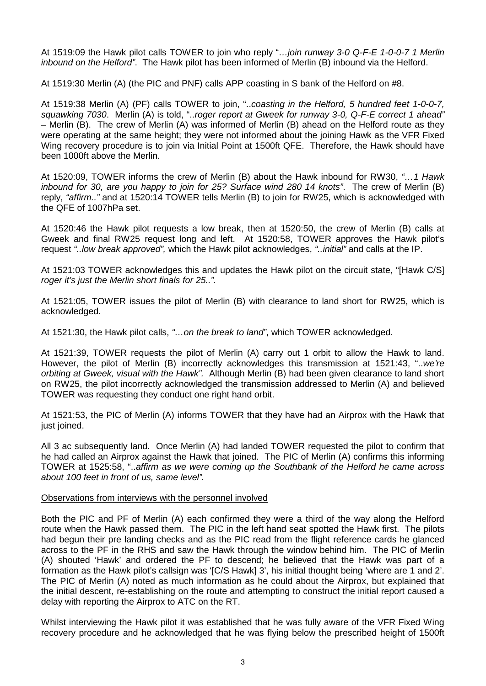At 1519:09 the Hawk pilot calls TOWER to join who reply "*…join runway 3-0 Q-F-E 1-0-0-7 1 Merlin inbound on the Helford"*. The Hawk pilot has been informed of Merlin (B) inbound via the Helford.

At 1519:30 Merlin (A) (the PIC and PNF) calls APP coasting in S bank of the Helford on #8.

At 1519:38 Merlin (A) (PF) calls TOWER to join, "..*coasting in the Helford, 5 hundred feet 1-0-0-7, squawking 7030*. Merlin (A) is told, "..*roger report at Gweek for runway 3-0, Q-F-E correct 1 ahead"* – Merlin (B). The crew of Merlin (A) was informed of Merlin (B) ahead on the Helford route as they were operating at the same height; they were not informed about the joining Hawk as the VFR Fixed Wing recovery procedure is to join via Initial Point at 1500ft QFE. Therefore, the Hawk should have been 1000ft above the Merlin.

At 1520:09, TOWER informs the crew of Merlin (B) about the Hawk inbound for RW30, *"…1 Hawk inbound for 30, are you happy to join for 25? Surface wind 280 14 knots"*. The crew of Merlin (B) reply, *"affirm.."* and at 1520:14 TOWER tells Merlin (B) to join for RW25, which is acknowledged with the QFE of 1007hPa set.

At 1520:46 the Hawk pilot requests a low break, then at 1520:50, the crew of Merlin (B) calls at Gweek and final RW25 request long and left. At 1520:58, TOWER approves the Hawk pilot's request *"..low break approved",* which the Hawk pilot acknowledges, *"..initial"* and calls at the IP.

At 1521:03 TOWER acknowledges this and updates the Hawk pilot on the circuit state, "[Hawk C/S] *roger it's just the Merlin short finals for 25..".*

At 1521:05, TOWER issues the pilot of Merlin (B) with clearance to land short for RW25, which is acknowledged.

At 1521:30, the Hawk pilot calls, *"…on the break to land"*, which TOWER acknowledged.

At 1521:39, TOWER requests the pilot of Merlin (A) carry out 1 orbit to allow the Hawk to land. However, the pilot of Merlin (B) incorrectly acknowledges this transmission at 1521:43, "..*we're orbiting at Gweek, visual with the Hawk".* Although Merlin (B) had been given clearance to land short on RW25, the pilot incorrectly acknowledged the transmission addressed to Merlin (A) and believed TOWER was requesting they conduct one right hand orbit.

At 1521:53, the PIC of Merlin (A) informs TOWER that they have had an Airprox with the Hawk that just joined.

All 3 ac subsequently land. Once Merlin (A) had landed TOWER requested the pilot to confirm that he had called an Airprox against the Hawk that joined. The PIC of Merlin (A) confirms this informing TOWER at 1525:58, "..*affirm as we were coming up the Southbank of the Helford he came across about 100 feet in front of us, same level".* 

#### Observations from interviews with the personnel involved

Both the PIC and PF of Merlin (A) each confirmed they were a third of the way along the Helford route when the Hawk passed them. The PIC in the left hand seat spotted the Hawk first. The pilots had begun their pre landing checks and as the PIC read from the flight reference cards he glanced across to the PF in the RHS and saw the Hawk through the window behind him. The PIC of Merlin (A) shouted 'Hawk' and ordered the PF to descend; he believed that the Hawk was part of a formation as the Hawk pilot's callsign was '[C/S Hawk] 3', his initial thought being 'where are 1 and 2'. The PIC of Merlin (A) noted as much information as he could about the Airprox, but explained that the initial descent, re-establishing on the route and attempting to construct the initial report caused a delay with reporting the Airprox to ATC on the RT.

Whilst interviewing the Hawk pilot it was established that he was fully aware of the VFR Fixed Wing recovery procedure and he acknowledged that he was flying below the prescribed height of 1500ft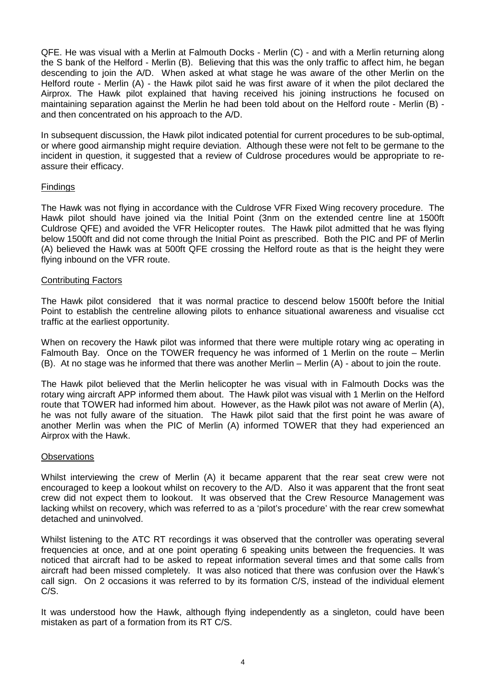QFE. He was visual with a Merlin at Falmouth Docks - Merlin (C) - and with a Merlin returning along the S bank of the Helford - Merlin (B). Believing that this was the only traffic to affect him, he began descending to join the A/D. When asked at what stage he was aware of the other Merlin on the Helford route - Merlin (A) - the Hawk pilot said he was first aware of it when the pilot declared the Airprox. The Hawk pilot explained that having received his joining instructions he focused on maintaining separation against the Merlin he had been told about on the Helford route - Merlin (B) and then concentrated on his approach to the A/D.

In subsequent discussion, the Hawk pilot indicated potential for current procedures to be sub-optimal, or where good airmanship might require deviation. Although these were not felt to be germane to the incident in question, it suggested that a review of Culdrose procedures would be appropriate to reassure their efficacy.

## Findings

The Hawk was not flying in accordance with the Culdrose VFR Fixed Wing recovery procedure. The Hawk pilot should have joined via the Initial Point (3nm on the extended centre line at 1500ft Culdrose QFE) and avoided the VFR Helicopter routes. The Hawk pilot admitted that he was flying below 1500ft and did not come through the Initial Point as prescribed. Both the PIC and PF of Merlin (A) believed the Hawk was at 500ft QFE crossing the Helford route as that is the height they were flying inbound on the VFR route.

### Contributing Factors

The Hawk pilot considered that it was normal practice to descend below 1500ft before the Initial Point to establish the centreline allowing pilots to enhance situational awareness and visualise cct traffic at the earliest opportunity.

When on recovery the Hawk pilot was informed that there were multiple rotary wing ac operating in Falmouth Bay. Once on the TOWER frequency he was informed of 1 Merlin on the route – Merlin (B). At no stage was he informed that there was another Merlin – Merlin (A) - about to join the route.

The Hawk pilot believed that the Merlin helicopter he was visual with in Falmouth Docks was the rotary wing aircraft APP informed them about. The Hawk pilot was visual with 1 Merlin on the Helford route that TOWER had informed him about. However, as the Hawk pilot was not aware of Merlin (A), he was not fully aware of the situation. The Hawk pilot said that the first point he was aware of another Merlin was when the PIC of Merlin (A) informed TOWER that they had experienced an Airprox with the Hawk.

#### **Observations**

Whilst interviewing the crew of Merlin (A) it became apparent that the rear seat crew were not encouraged to keep a lookout whilst on recovery to the A/D. Also it was apparent that the front seat crew did not expect them to lookout. It was observed that the Crew Resource Management was lacking whilst on recovery, which was referred to as a 'pilot's procedure' with the rear crew somewhat detached and uninvolved.

Whilst listening to the ATC RT recordings it was observed that the controller was operating several frequencies at once, and at one point operating 6 speaking units between the frequencies. It was noticed that aircraft had to be asked to repeat information several times and that some calls from aircraft had been missed completely. It was also noticed that there was confusion over the Hawk's call sign. On 2 occasions it was referred to by its formation C/S, instead of the individual element C/S.

It was understood how the Hawk, although flying independently as a singleton, could have been mistaken as part of a formation from its RT C/S.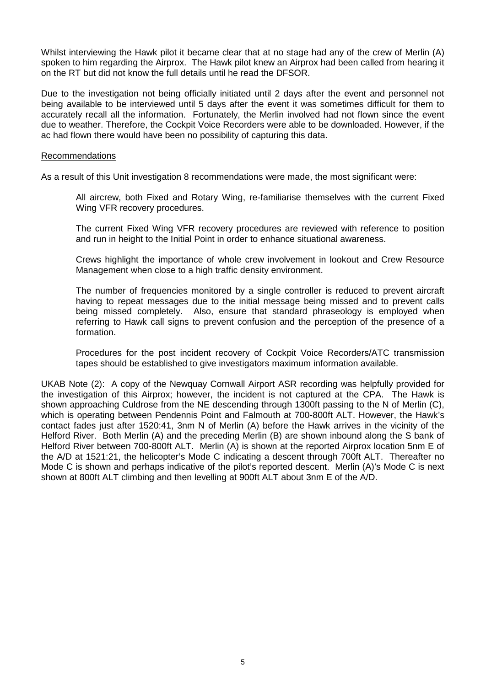Whilst interviewing the Hawk pilot it became clear that at no stage had any of the crew of Merlin (A) spoken to him regarding the Airprox. The Hawk pilot knew an Airprox had been called from hearing it on the RT but did not know the full details until he read the DFSOR.

Due to the investigation not being officially initiated until 2 days after the event and personnel not being available to be interviewed until 5 days after the event it was sometimes difficult for them to accurately recall all the information. Fortunately, the Merlin involved had not flown since the event due to weather. Therefore, the Cockpit Voice Recorders were able to be downloaded. However, if the ac had flown there would have been no possibility of capturing this data.

#### Recommendations

As a result of this Unit investigation 8 recommendations were made, the most significant were:

All aircrew, both Fixed and Rotary Wing, re-familiarise themselves with the current Fixed Wing VFR recovery procedures.

The current Fixed Wing VFR recovery procedures are reviewed with reference to position and run in height to the Initial Point in order to enhance situational awareness.

Crews highlight the importance of whole crew involvement in lookout and Crew Resource Management when close to a high traffic density environment.

The number of frequencies monitored by a single controller is reduced to prevent aircraft having to repeat messages due to the initial message being missed and to prevent calls being missed completely. Also, ensure that standard phraseology is employed when referring to Hawk call signs to prevent confusion and the perception of the presence of a formation.

Procedures for the post incident recovery of Cockpit Voice Recorders/ATC transmission tapes should be established to give investigators maximum information available.

UKAB Note (2): A copy of the Newquay Cornwall Airport ASR recording was helpfully provided for the investigation of this Airprox; however, the incident is not captured at the CPA. The Hawk is shown approaching Culdrose from the NE descending through 1300ft passing to the N of Merlin (C), which is operating between Pendennis Point and Falmouth at 700-800ft ALT. However, the Hawk's contact fades just after 1520:41, 3nm N of Merlin (A) before the Hawk arrives in the vicinity of the Helford River. Both Merlin (A) and the preceding Merlin (B) are shown inbound along the S bank of Helford River between 700-800ft ALT. Merlin (A) is shown at the reported Airprox location 5nm E of the A/D at 1521:21, the helicopter's Mode C indicating a descent through 700ft ALT. Thereafter no Mode C is shown and perhaps indicative of the pilot's reported descent. Merlin (A)'s Mode C is next shown at 800ft ALT climbing and then levelling at 900ft ALT about 3nm E of the A/D.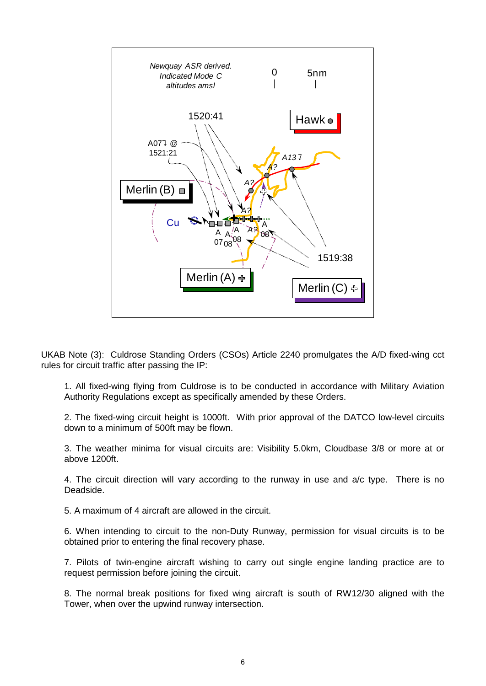

UKAB Note (3): Culdrose Standing Orders (CSOs) Article 2240 promulgates the A/D fixed-wing cct rules for circuit traffic after passing the IP:

1. All fixed-wing flying from Culdrose is to be conducted in accordance with Military Aviation Authority Regulations except as specifically amended by these Orders.

2. The fixed-wing circuit height is 1000ft. With prior approval of the DATCO low-level circuits down to a minimum of 500ft may be flown.

3. The weather minima for visual circuits are: Visibility 5.0km, Cloudbase 3/8 or more at or above 1200ft.

4. The circuit direction will vary according to the runway in use and a/c type. There is no Deadside.

5. A maximum of 4 aircraft are allowed in the circuit.

6. When intending to circuit to the non-Duty Runway, permission for visual circuits is to be obtained prior to entering the final recovery phase.

7. Pilots of twin-engine aircraft wishing to carry out single engine landing practice are to request permission before joining the circuit.

8. The normal break positions for fixed wing aircraft is south of RW12/30 aligned with the Tower, when over the upwind runway intersection.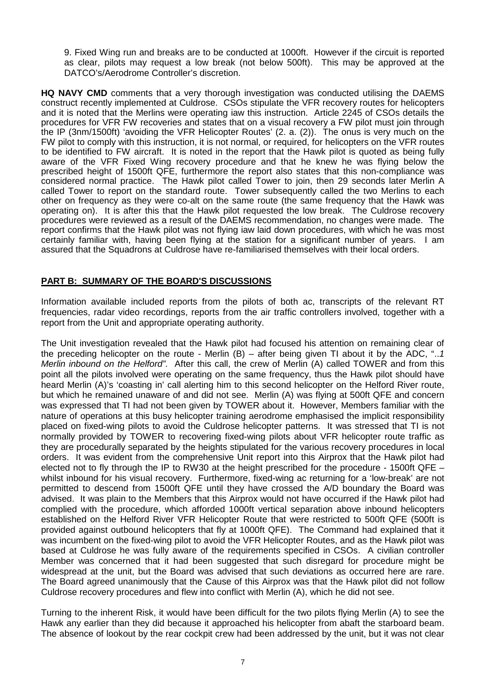9. Fixed Wing run and breaks are to be conducted at 1000ft. However if the circuit is reported as clear, pilots may request a low break (not below 500ft). This may be approved at the DATCO's/Aerodrome Controller's discretion.

**HQ NAVY CMD** comments that a very thorough investigation was conducted utilising the DAEMS construct recently implemented at Culdrose. CSOs stipulate the VFR recovery routes for helicopters and it is noted that the Merlins were operating iaw this instruction. Article 2245 of CSOs details the procedures for VFR FW recoveries and states that on a visual recovery a FW pilot must join through the IP (3nm/1500ft) 'avoiding the VFR Helicopter Routes' (2. a. (2)). The onus is very much on the FW pilot to comply with this instruction, it is not normal, or required, for helicopters on the VFR routes to be identified to FW aircraft. It is noted in the report that the Hawk pilot is quoted as being fully aware of the VFR Fixed Wing recovery procedure and that he knew he was flying below the prescribed height of 1500ft QFE, furthermore the report also states that this non-compliance was considered normal practice. The Hawk pilot called Tower to join, then 29 seconds later Merlin A called Tower to report on the standard route. Tower subsequently called the two Merlins to each other on frequency as they were co-alt on the same route (the same frequency that the Hawk was operating on). It is after this that the Hawk pilot requested the low break. The Culdrose recovery procedures were reviewed as a result of the DAEMS recommendation, no changes were made. The report confirms that the Hawk pilot was not flying iaw laid down procedures, with which he was most certainly familiar with, having been flying at the station for a significant number of years. I am assured that the Squadrons at Culdrose have re-familiarised themselves with their local orders.

## **PART B: SUMMARY OF THE BOARD'S DISCUSSIONS**

Information available included reports from the pilots of both ac, transcripts of the relevant RT frequencies, radar video recordings, reports from the air traffic controllers involved, together with a report from the Unit and appropriate operating authority.

The Unit investigation revealed that the Hawk pilot had focused his attention on remaining clear of the preceding helicopter on the route - Merlin (B) – after being given TI about it by the ADC, "..*1 Merlin inbound on the Helford"*. After this call, the crew of Merlin (A) called TOWER and from this point all the pilots involved were operating on the same frequency, thus the Hawk pilot should have heard Merlin (A)'s 'coasting in' call alerting him to this second helicopter on the Helford River route, but which he remained unaware of and did not see. Merlin (A) was flying at 500ft QFE and concern was expressed that TI had not been given by TOWER about it. However, Members familiar with the nature of operations at this busy helicopter training aerodrome emphasised the implicit responsibility placed on fixed-wing pilots to avoid the Culdrose helicopter patterns. It was stressed that TI is not normally provided by TOWER to recovering fixed-wing pilots about VFR helicopter route traffic as they are procedurally separated by the heights stipulated for the various recovery procedures in local orders. It was evident from the comprehensive Unit report into this Airprox that the Hawk pilot had elected not to fly through the IP to RW30 at the height prescribed for the procedure - 1500ft QFE – whilst inbound for his visual recovery. Furthermore, fixed-wing ac returning for a 'low-break' are not permitted to descend from 1500ft QFE until they have crossed the A/D boundary the Board was advised. It was plain to the Members that this Airprox would not have occurred if the Hawk pilot had complied with the procedure, which afforded 1000ft vertical separation above inbound helicopters established on the Helford River VFR Helicopter Route that were restricted to 500ft QFE (500ft is provided against outbound helicopters that fly at 1000ft QFE). The Command had explained that it was incumbent on the fixed-wing pilot to avoid the VFR Helicopter Routes, and as the Hawk pilot was based at Culdrose he was fully aware of the requirements specified in CSOs. A civilian controller Member was concerned that it had been suggested that such disregard for procedure might be widespread at the unit, but the Board was advised that such deviations as occurred here are rare. The Board agreed unanimously that the Cause of this Airprox was that the Hawk pilot did not follow Culdrose recovery procedures and flew into conflict with Merlin (A), which he did not see.

Turning to the inherent Risk, it would have been difficult for the two pilots flying Merlin (A) to see the Hawk any earlier than they did because it approached his helicopter from abaft the starboard beam. The absence of lookout by the rear cockpit crew had been addressed by the unit, but it was not clear